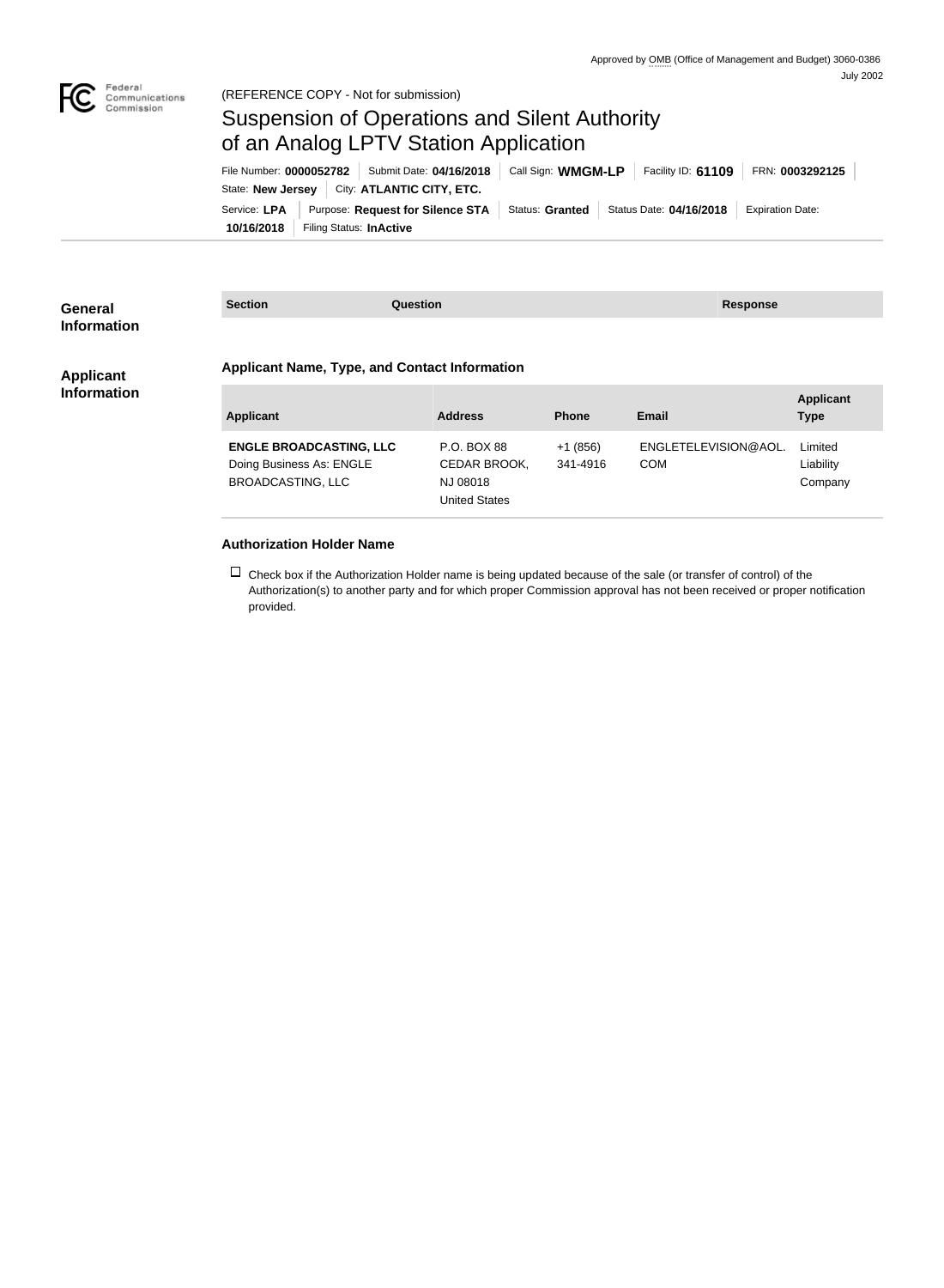

(REFERENCE COPY - Not for submission)

## Suspension of Operations and Silent Authority of an Analog LPTV Station Application

**10/16/2018** Filing Status: **InActive** Service: LPA | Purpose: Request for Silence STA | Status: Granted | Status Date: 04/16/2018 | Expiration Date: State: **New Jersey** | City: **ATLANTIC CITY, ETC.** File Number: **0000052782** Submit Date: **04/16/2018** Call Sign: **WMGM-LP** Facility ID: **61109** FRN: **0003292125**

| General<br><b>Information</b>          | <b>Section</b> | <b>Question</b>                                      | Response         |  |  |
|----------------------------------------|----------------|------------------------------------------------------|------------------|--|--|
|                                        |                |                                                      |                  |  |  |
| <b>Applicant</b><br><b>Information</b> |                | <b>Applicant Name, Type, and Contact Information</b> |                  |  |  |
|                                        |                |                                                      | <b>Applicant</b> |  |  |

| Applicant                                                                              | <b>Address</b>                                                  | <b>Phone</b>          | Email                              | <b>Applicant</b><br><b>Type</b> |
|----------------------------------------------------------------------------------------|-----------------------------------------------------------------|-----------------------|------------------------------------|---------------------------------|
| <b>ENGLE BROADCASTING, LLC</b><br>Doing Business As: ENGLE<br><b>BROADCASTING, LLC</b> | P.O. BOX 88<br>CEDAR BROOK,<br>NJ 08018<br><b>United States</b> | $+1(856)$<br>341-4916 | ENGLETELEVISION@AOL.<br><b>COM</b> | Limited<br>Liability<br>Company |

## **Authorization Holder Name**

 $\Box$  Check box if the Authorization Holder name is being updated because of the sale (or transfer of control) of the Authorization(s) to another party and for which proper Commission approval has not been received or proper notification provided.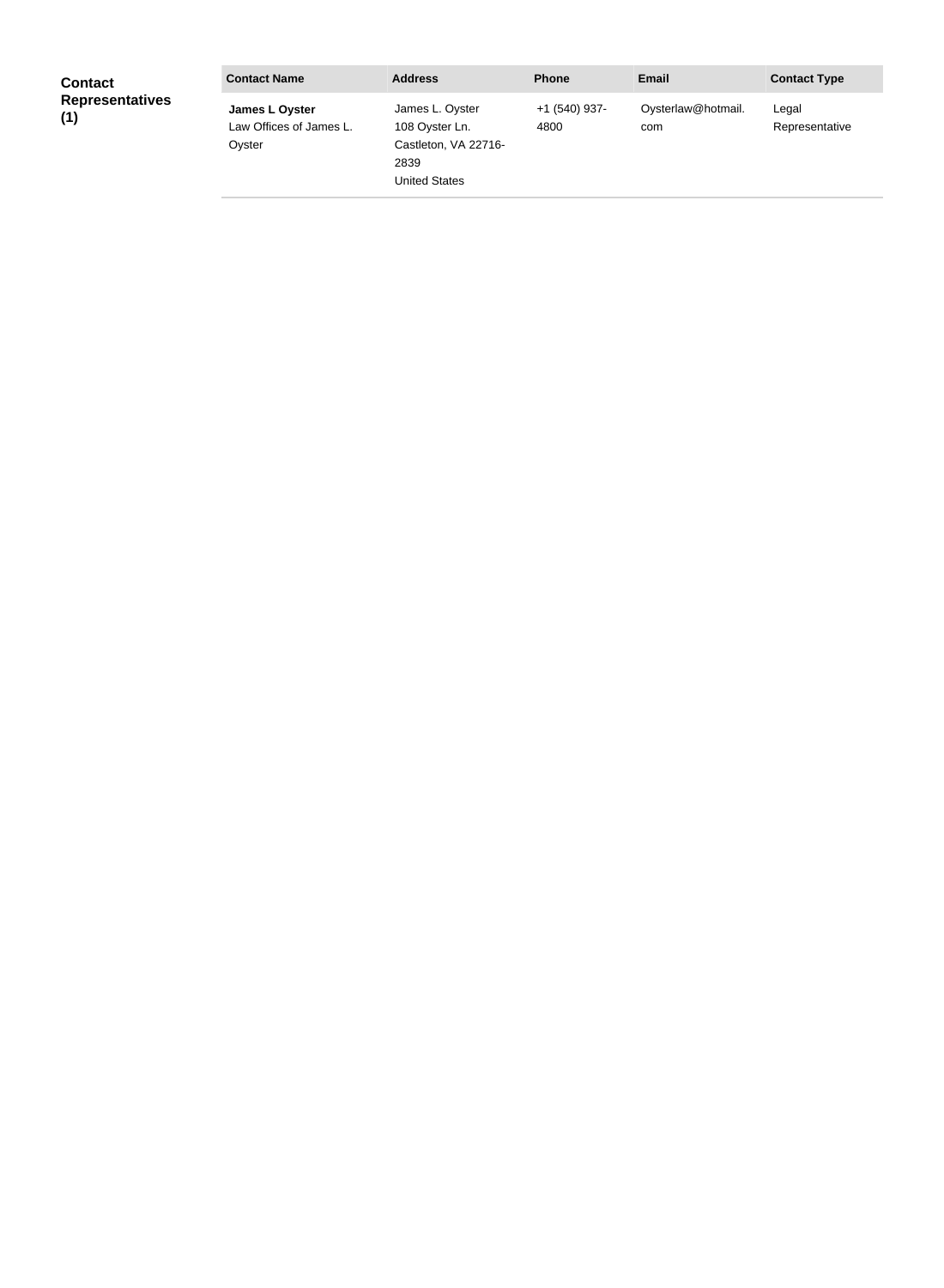| <b>Contact</b>                | <b>Contact Name</b>                                 | <b>Address</b>                                                                     | <b>Phone</b>            | <b>Email</b>              | <b>Contact Type</b>     |
|-------------------------------|-----------------------------------------------------|------------------------------------------------------------------------------------|-------------------------|---------------------------|-------------------------|
| <b>Representatives</b><br>(1) | James L Oyster<br>Law Offices of James L.<br>Oyster | James L. Oyster<br>108 Oyster Ln.<br>Castleton, VA 22716-<br>2839<br>United States | $+1$ (540) 937-<br>4800 | Oysterlaw@hotmail.<br>com | Legal<br>Representative |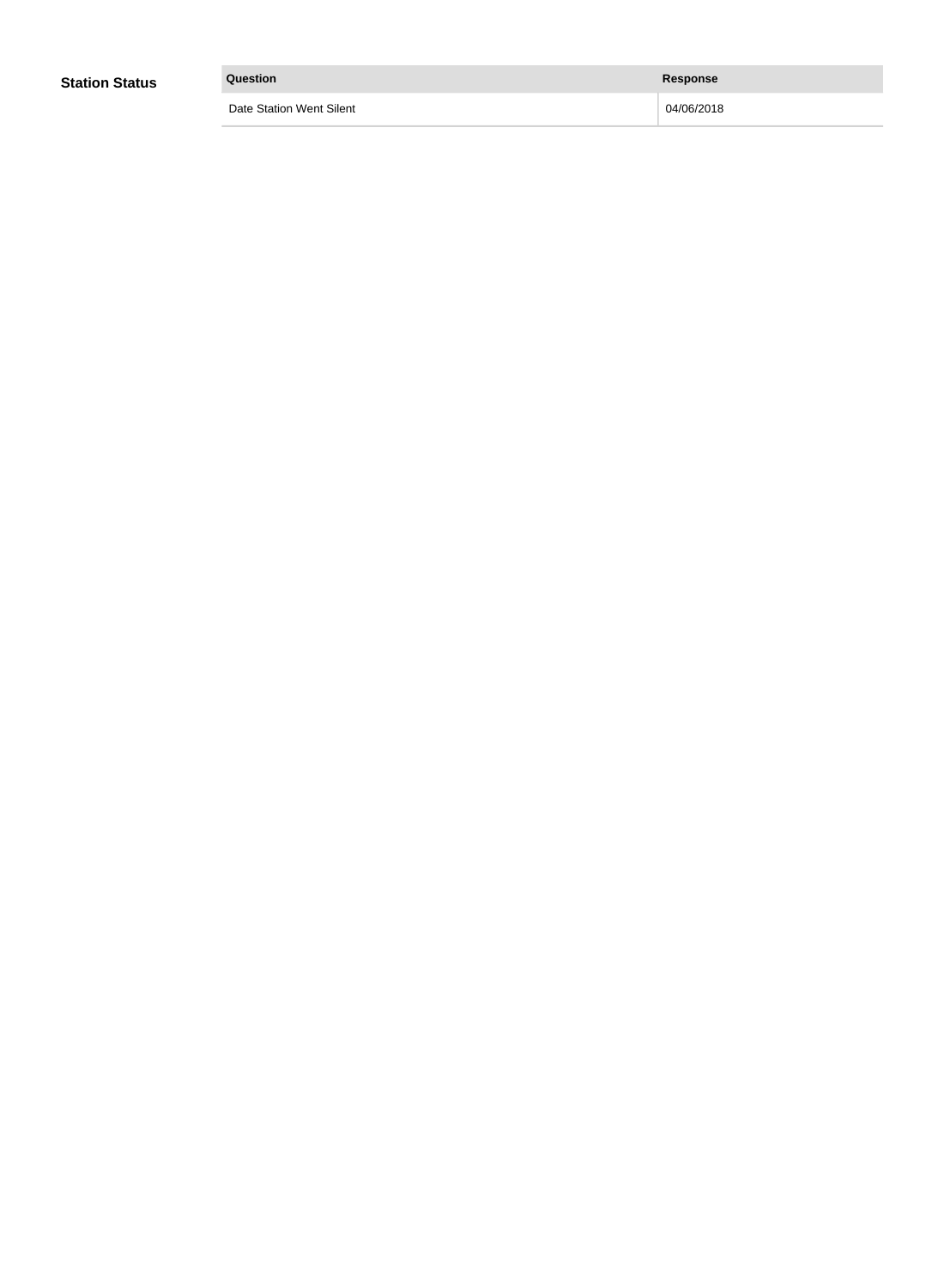| <b>Station Status</b> | Question                 | <b>Response</b> |
|-----------------------|--------------------------|-----------------|
|                       | Date Station Went Silent | 04/06/2018      |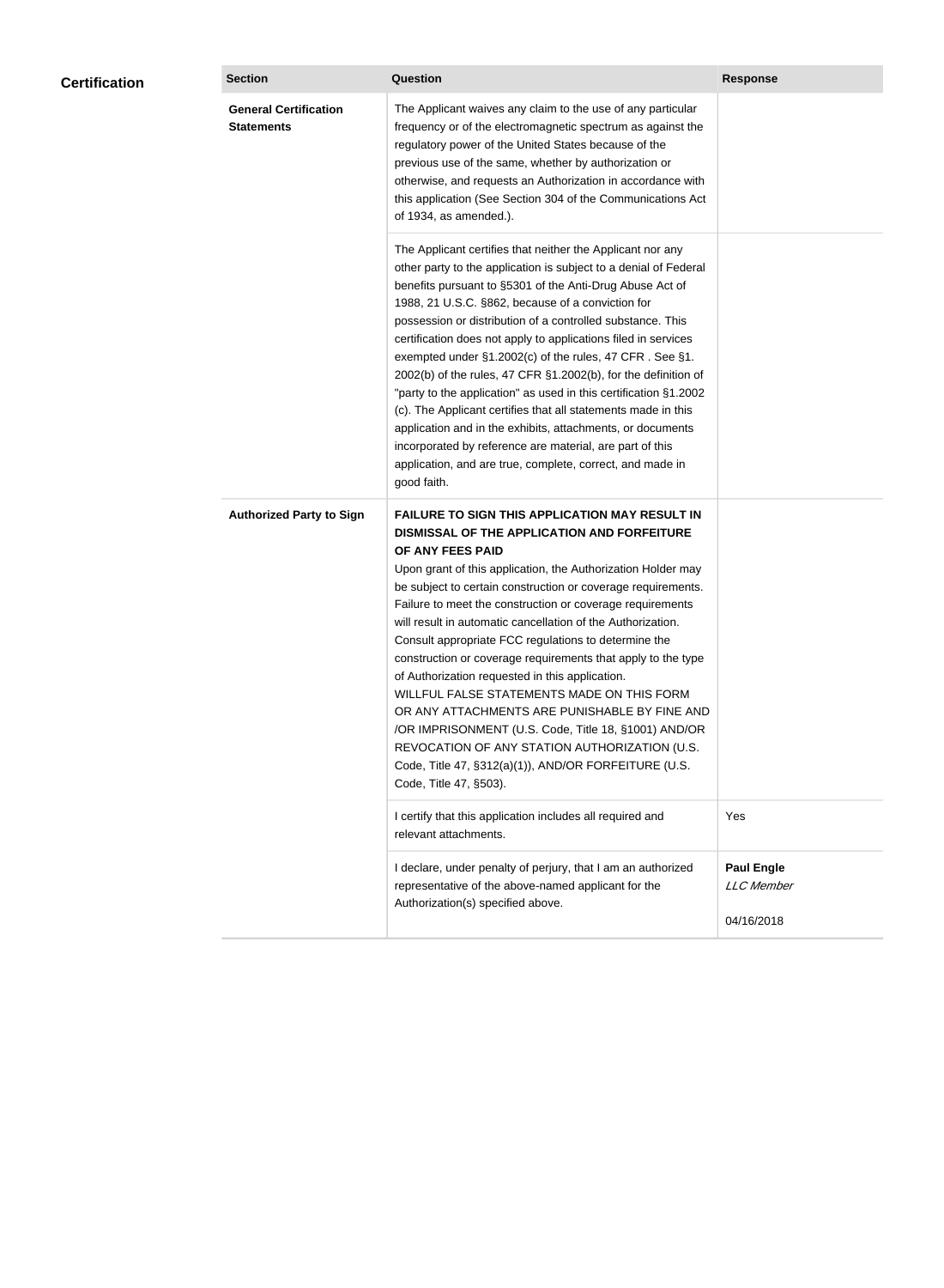| <b>Certification</b> | <b>Section</b>                                    | <b>Question</b>                                                                                                                                                                                                                                                                                                                                                                                                                                                                                                                                                                                                                                                                                                                                                                                                                                           | <b>Response</b>                                      |
|----------------------|---------------------------------------------------|-----------------------------------------------------------------------------------------------------------------------------------------------------------------------------------------------------------------------------------------------------------------------------------------------------------------------------------------------------------------------------------------------------------------------------------------------------------------------------------------------------------------------------------------------------------------------------------------------------------------------------------------------------------------------------------------------------------------------------------------------------------------------------------------------------------------------------------------------------------|------------------------------------------------------|
|                      | <b>General Certification</b><br><b>Statements</b> | The Applicant waives any claim to the use of any particular<br>frequency or of the electromagnetic spectrum as against the<br>regulatory power of the United States because of the<br>previous use of the same, whether by authorization or<br>otherwise, and requests an Authorization in accordance with<br>this application (See Section 304 of the Communications Act<br>of 1934, as amended.).                                                                                                                                                                                                                                                                                                                                                                                                                                                       |                                                      |
|                      |                                                   | The Applicant certifies that neither the Applicant nor any<br>other party to the application is subject to a denial of Federal<br>benefits pursuant to §5301 of the Anti-Drug Abuse Act of<br>1988, 21 U.S.C. §862, because of a conviction for<br>possession or distribution of a controlled substance. This<br>certification does not apply to applications filed in services<br>exempted under §1.2002(c) of the rules, 47 CFR. See §1.<br>2002(b) of the rules, 47 CFR §1.2002(b), for the definition of<br>"party to the application" as used in this certification §1.2002<br>(c). The Applicant certifies that all statements made in this<br>application and in the exhibits, attachments, or documents<br>incorporated by reference are material, are part of this<br>application, and are true, complete, correct, and made in<br>good faith.   |                                                      |
|                      | <b>Authorized Party to Sign</b>                   | <b>FAILURE TO SIGN THIS APPLICATION MAY RESULT IN</b><br>DISMISSAL OF THE APPLICATION AND FORFEITURE<br>OF ANY FEES PAID<br>Upon grant of this application, the Authorization Holder may<br>be subject to certain construction or coverage requirements.<br>Failure to meet the construction or coverage requirements<br>will result in automatic cancellation of the Authorization.<br>Consult appropriate FCC regulations to determine the<br>construction or coverage requirements that apply to the type<br>of Authorization requested in this application.<br>WILLFUL FALSE STATEMENTS MADE ON THIS FORM<br>OR ANY ATTACHMENTS ARE PUNISHABLE BY FINE AND<br>/OR IMPRISONMENT (U.S. Code, Title 18, §1001) AND/OR<br>REVOCATION OF ANY STATION AUTHORIZATION (U.S.<br>Code, Title 47, §312(a)(1)), AND/OR FORFEITURE (U.S.<br>Code, Title 47, §503). |                                                      |
|                      |                                                   | I certify that this application includes all required and<br>relevant attachments.                                                                                                                                                                                                                                                                                                                                                                                                                                                                                                                                                                                                                                                                                                                                                                        | Yes                                                  |
|                      |                                                   | I declare, under penalty of perjury, that I am an authorized<br>representative of the above-named applicant for the<br>Authorization(s) specified above.                                                                                                                                                                                                                                                                                                                                                                                                                                                                                                                                                                                                                                                                                                  | <b>Paul Engle</b><br><b>LLC</b> Member<br>04/16/2018 |